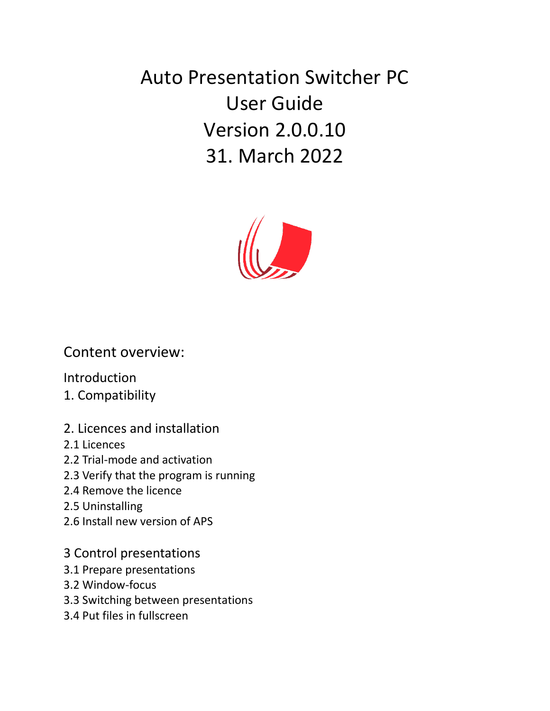Auto Presentation Switcher PC User Guide Version 2.0.0.10 31. March 2022



#### Content overview:

Introduction

- 1. Compatibility
- 2. Licences and installation
- 2.1 Licences
- 2.2 Trial-mode and activation
- 2.3 Verify that the program is running
- 2.4 Remove the licence
- 2.5 Uninstalling
- 2.6 Install new version of APS
- 3 Control presentations
- 3.1 Prepare presentations
- 3.2 Window-focus
- 3.3 Switching between presentations
- 3.4 Put files in fullscreen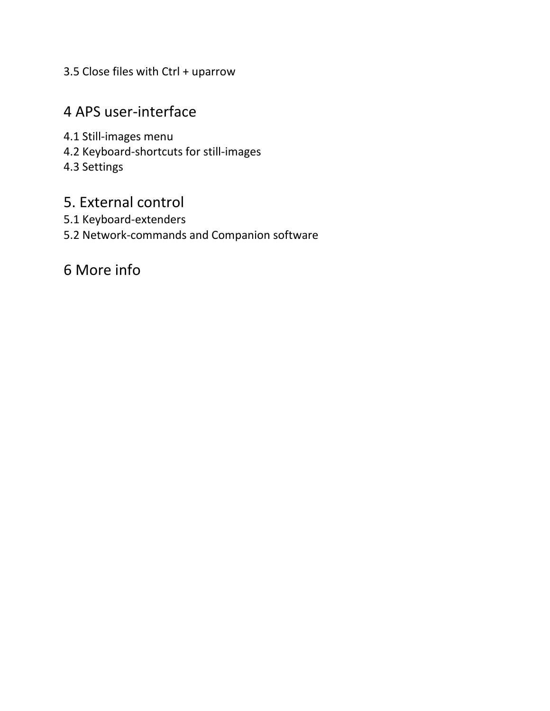3.5 Close files with Ctrl + uparrow

## 4 APS user-interface

- 4.1 Still-images menu
- 4.2 Keyboard-shortcuts for still-images
- 4.3 Settings

#### 5. External control

- 5.1 Keyboard-extenders
- 5.2 Network-commands and Companion software

# 6 More info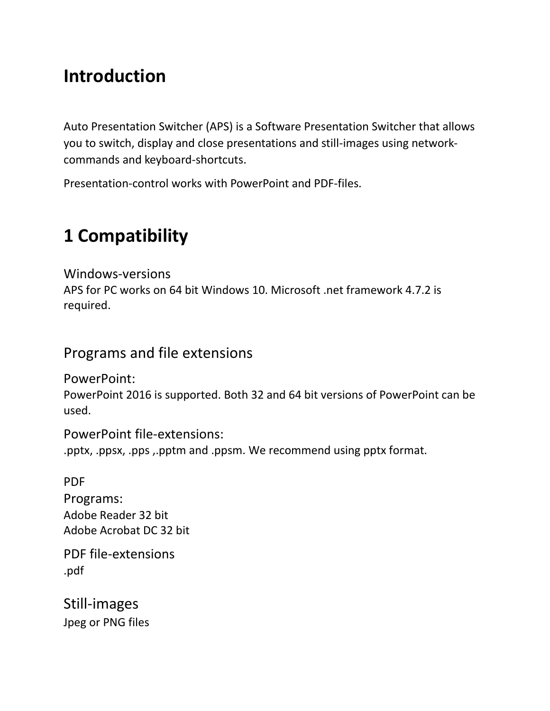# **Introduction**

Auto Presentation Switcher (APS) is a Software Presentation Switcher that allows you to switch, display and close presentations and still-images using networkcommands and keyboard-shortcuts.

Presentation-control works with PowerPoint and PDF-files.

# **1 Compatibility**

Windows-versions APS for PC works on 64 bit Windows 10. Microsoft .net framework 4.7.2 is required.

## Programs and file extensions

PowerPoint:

PowerPoint 2016 is supported. Both 32 and 64 bit versions of PowerPoint can be used.

PowerPoint file-extensions:

.pptx, .ppsx, .pps ,.pptm and .ppsm. We recommend using pptx format.

PDF Programs: Adobe Reader 32 bit Adobe Acrobat DC 32 bit

PDF file-extensions .pdf

Still-images Jpeg or PNG files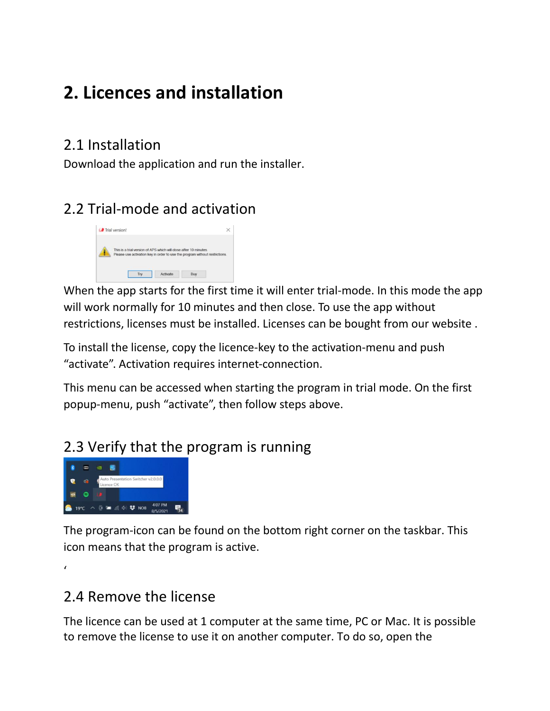# **2. Licences and installation**

## 2.1 Installation

Download the application and run the installer.

# 2.2 Trial-mode and activation



When the app starts for the first time it will enter trial-mode. In this mode the app will work normally for 10 minutes and then close. To use the app without restrictions, licenses must be installed. Licenses can be bought from our website .

To install the license, copy the licence-key to the activation-menu and push "activate". Activation requires internet-connection.

This menu can be accessed when starting the program in trial mode. On the first popup-menu, push "activate", then follow steps above.

# 2.3 Verify that the program is running



The program-icon can be found on the bottom right corner on the taskbar. This icon means that the program is active.

 $\epsilon$ 

# 2.4 Remove the license

The licence can be used at 1 computer at the same time, PC or Mac. It is possible to remove the license to use it on another computer. To do so, open the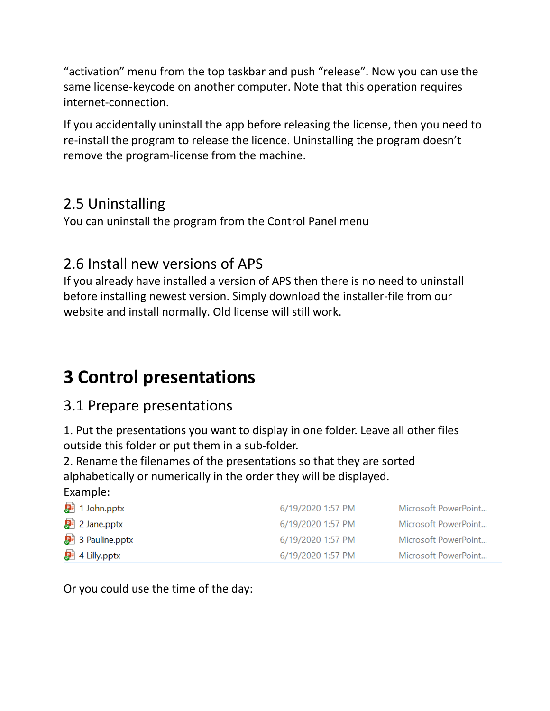"activation" menu from the top taskbar and push "release". Now you can use the same license-keycode on another computer. Note that this operation requires internet-connection.

If you accidentally uninstall the app before releasing the license, then you need to re-install the program to release the licence. Uninstalling the program doesn't remove the program-license from the machine.

# 2.5 Uninstalling

You can uninstall the program from the Control Panel menu

## 2.6 Install new versions of APS

If you already have installed a version of APS then there is no need to uninstall before installing newest version. Simply download the installer-file from our website and install normally. Old license will still work.

# **3 Control presentations**

### 3.1 Prepare presentations

1. Put the presentations you want to display in one folder. Leave all other files outside this folder or put them in a sub-folder.

2. Rename the filenames of the presentations so that they are sorted alphabetically or numerically in the order they will be displayed. Example:

| <mark>身</mark> 】1 John.pptx             | 6/19/2020 1:57 PM | Microsoft PowerPoint |
|-----------------------------------------|-------------------|----------------------|
| $\mathbb{P}^2$ 2 Jane.pptx              | 6/19/2020 1:57 PM | Microsoft PowerPoint |
| $\mathbf{F}^{\parallel}$ 3 Pauline.pptx | 6/19/2020 1:57 PM | Microsoft PowerPoint |
| $\mathbb{P}^2$ 4 Lilly.pptx             | 6/19/2020 1:57 PM | Microsoft PowerPoint |

Or you could use the time of the day: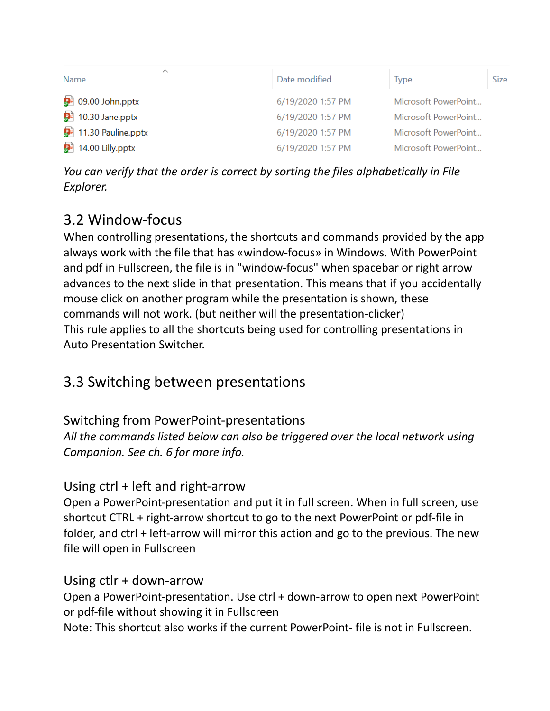| ∧<br>Name                                 | Date modified     | <b>Type</b>          | <b>Size</b> |
|-------------------------------------------|-------------------|----------------------|-------------|
| $\mathbf{P}^{\mathsf{B}}$ 09.00 John.pptx | 6/19/2020 1:57 PM | Microsoft PowerPoint |             |
| $91$ 10.30 Jane.pptx                      | 6/19/2020 1:57 PM | Microsoft PowerPoint |             |
| <b>D</b> <sup>1</sup> 11.30 Pauline.pptx  | 6/19/2020 1:57 PM | Microsoft PowerPoint |             |
| $92$ 14.00 Lilly.pptx                     | 6/19/2020 1:57 PM | Microsoft PowerPoint |             |

*You can verify that the order is correct by sorting the files alphabetically in File Explorer.* 

## 3.2 Window-focus

When controlling presentations, the shortcuts and commands provided by the app always work with the file that has «window-focus» in Windows. With PowerPoint and pdf in Fullscreen, the file is in "window-focus" when spacebar or right arrow advances to the next slide in that presentation. This means that if you accidentally mouse click on another program while the presentation is shown, these commands will not work. (but neither will the presentation-clicker) This rule applies to all the shortcuts being used for controlling presentations in Auto Presentation Switcher.

## 3.3 Switching between presentations

#### Switching from PowerPoint-presentations

*All the commands listed below can also be triggered over the local network using Companion. See ch. 6 for more info.*

#### Using ctrl + left and right-arrow

Open a PowerPoint-presentation and put it in full screen. When in full screen, use shortcut CTRL + right-arrow shortcut to go to the next PowerPoint or pdf-file in folder, and ctrl + left-arrow will mirror this action and go to the previous. The new file will open in Fullscreen

#### Using ctlr + down-arrow

Open a PowerPoint-presentation. Use ctrl + down-arrow to open next PowerPoint or pdf-file without showing it in Fullscreen

Note: This shortcut also works if the current PowerPoint- file is not in Fullscreen.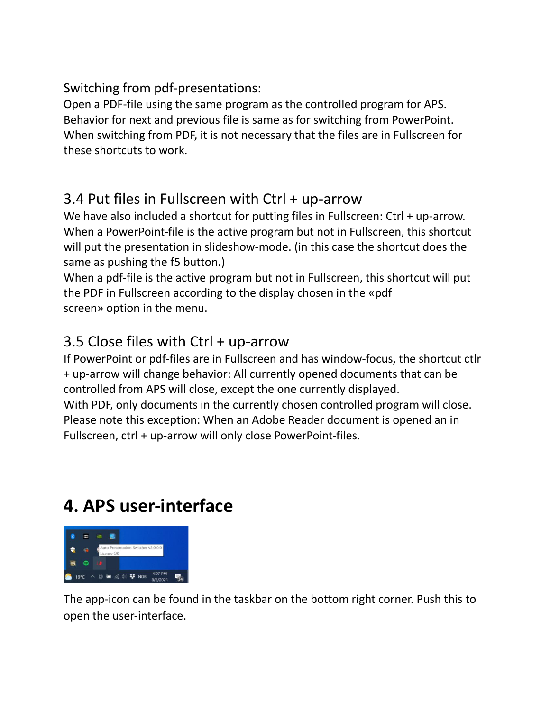#### Switching from pdf-presentations:

Open a PDF-file using the same program as the controlled program for APS. Behavior for next and previous file is same as for switching from PowerPoint. When switching from PDF, it is not necessary that the files are in Fullscreen for these shortcuts to work.

### 3.4 Put files in Fullscreen with Ctrl + up-arrow

We have also included a shortcut for putting files in Fullscreen: Ctrl + up-arrow. When a PowerPoint-file is the active program but not in Fullscreen, this shortcut will put the presentation in slideshow-mode. (in this case the shortcut does the same as pushing the f5 button.)

When a pdf-file is the active program but not in Fullscreen, this shortcut will put the PDF in Fullscreen according to the display chosen in the «pdf screen» option in the menu.

## 3.5 Close files with Ctrl + up-arrow

If PowerPoint or pdf-files are in Fullscreen and has window-focus, the shortcut ctlr + up-arrow will change behavior: All currently opened documents that can be controlled from APS will close, except the one currently displayed. With PDF, only documents in the currently chosen controlled program will close. Please note this exception: When an Adobe Reader document is opened an in Fullscreen, ctrl + up-arrow will only close PowerPoint-files.

# **4. APS user-interface**



The app-icon can be found in the taskbar on the bottom right corner. Push this to open the user-interface.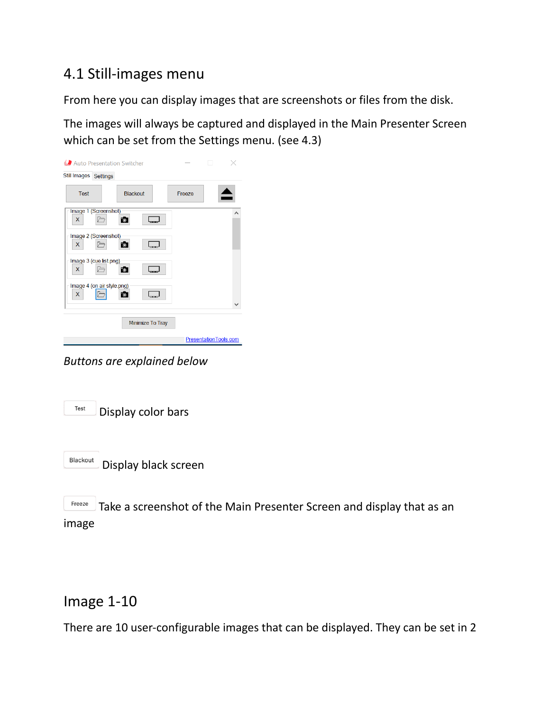## 4.1 Still-images menu

From here you can display images that are screenshots or files from the disk.

The images will always be captured and displayed in the Main Presenter Screen which can be set from the Settings menu. (see 4.3)

| Auto Presentation Switcher      |                      |               |                       |  |
|---------------------------------|----------------------|---------------|-----------------------|--|
| Still Images Settings           |                      |               |                       |  |
| <b>Test</b>                     | <b>Blackout</b>      | <b>Freeze</b> |                       |  |
| Image 1 (Screenshot)<br>X       | Fo <sup>-</sup>      |               | ⌒                     |  |
| Image 2 (Screenshot)<br>X       | $\sim$               |               |                       |  |
| Image 3 (cue list.png)<br>X     | $\overline{\bullet}$ |               |                       |  |
| Image 4 (on air style.png)<br>X | Fo I                 |               |                       |  |
|                                 | Minimize To Tray     |               |                       |  |
|                                 |                      |               | PresentationTools.com |  |

*Buttons are explained below*

| Test | Display color bars |  |
|------|--------------------|--|
|------|--------------------|--|



Freeze Take a screenshot of the Main Presenter Screen and display that as an image

#### Image 1-10

There are 10 user-configurable images that can be displayed. They can be set in 2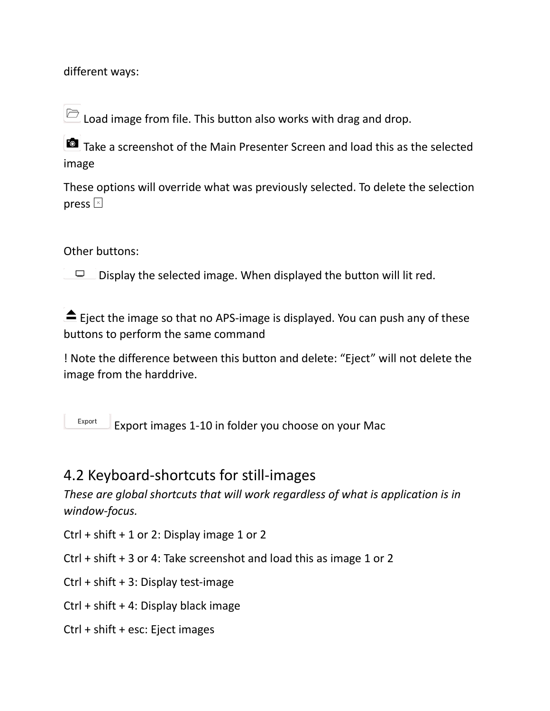different ways:

 $\Box$  Load image from file. This button also works with drag and drop.

Take a screenshot of the Main Presenter Screen and load this as the selected image

These options will override what was previously selected. To delete the selection press  $\boxed{\times}$ 

#### Other buttons:

 $\Box$ Display the selected image. When displayed the button will lit red.

 $\triangle$  Eject the image so that no APS-image is displayed. You can push any of these buttons to perform the same command

! Note the difference between this button and delete: "Eject" will not delete the image from the harddrive.

Export Export images 1-10 in folder you choose on your Mac

#### 4.2 Keyboard-shortcuts for still-images

*These are global shortcuts that will work regardless of what is application is in window-focus.*

Ctrl + shift  $+1$  or 2: Display image 1 or 2

- Ctrl + shift + 3 or 4: Take screenshot and load this as image 1 or 2
- Ctrl + shift + 3: Display test-image
- Ctrl + shift + 4: Display black image
- Ctrl + shift + esc: Eject images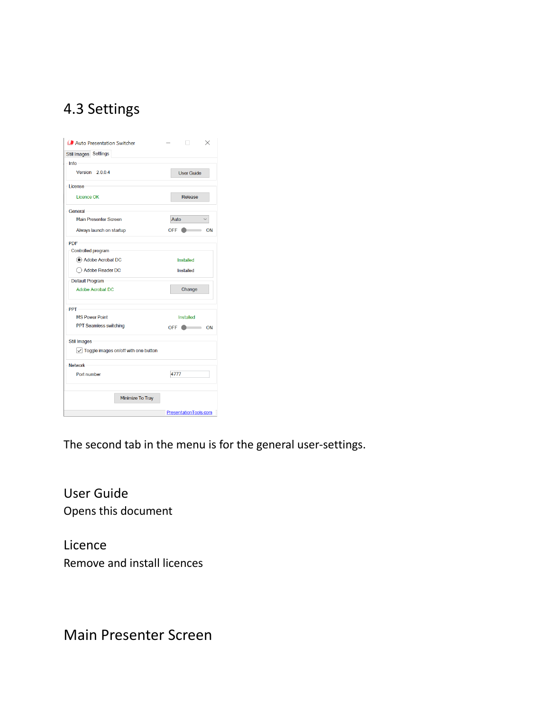# 4.3 Settings

| Still Images Settings                                     |                       |
|-----------------------------------------------------------|-----------------------|
| Info                                                      |                       |
| Version 2.0.0.4                                           | <b>User Guide</b>     |
| I icense                                                  |                       |
| <b>Licence OK</b>                                         | Release               |
| General                                                   |                       |
| Main Presenter Screen                                     | Auto                  |
| Always launch on startup                                  | <b>OFF</b><br>ON      |
| $PDF -$                                                   |                       |
| Controlled program                                        |                       |
| Adobe Acrobat DC                                          | Installed             |
| Adobe Reader DC                                           | Installed             |
| Default Program                                           |                       |
| Adobe Acrobat DC                                          | Change                |
| PPT-                                                      |                       |
| <b>MS Power Point</b>                                     | Installed             |
| PPT Seamless switching                                    | $OFF$ $ON$            |
| <b>Still Images</b>                                       |                       |
| $\sqrt{\phantom{a}}$ Toggle images on/off with one button |                       |
| <b>Network</b>                                            |                       |
| Port number                                               | 4777                  |
|                                                           |                       |
| Minimize To Tray                                          |                       |
|                                                           | PresentationTools.com |

The second tab in the menu is for the general user-settings.

User Guide Opens this document

Licence Remove and install licences

Main Presenter Screen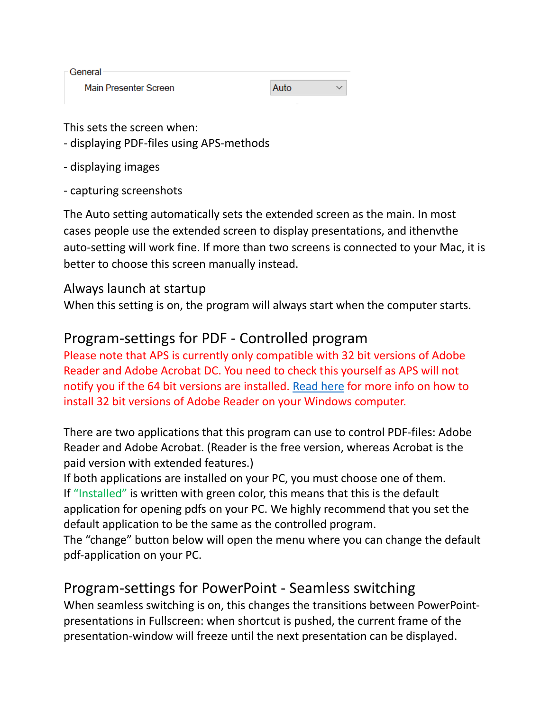| General               |      |  |
|-----------------------|------|--|
| Main Presenter Screen | Auto |  |

This sets the screen when:

- displaying PDF-files using APS-methods
- displaying images
- capturing screenshots

The Auto setting automatically sets the extended screen as the main. In most cases people use the extended screen to display presentations, and ithenvthe auto-setting will work fine. If more than two screens is connected to your Mac, it is better to choose this screen manually instead.

#### Always launch at startup

When this setting is on, the program will always start when the computer starts.

### Program-settings for PDF - Controlled program

Please note that APS is currently only compatible with 32 bit versions of Adobe Reader and Adobe Acrobat DC. You need to check this yourself as APS will not notify you if the 64 bit versions are installed. [Read here](https://www.presentationtools.com/adobe-pdf-compatibility-for-aps-pc/) for more info on how to install 32 bit versions of Adobe Reader on your Windows computer.

There are two applications that this program can use to control PDF-files: Adobe Reader and Adobe Acrobat. (Reader is the free version, whereas Acrobat is the paid version with extended features.)

If both applications are installed on your PC, you must choose one of them. If "Installed" is written with green color, this means that this is the default application for opening pdfs on your PC. We highly recommend that you set the default application to be the same as the controlled program.

The "change" button below will open the menu where you can change the default pdf-application on your PC.

### Program-settings for PowerPoint - Seamless switching

When seamless switching is on, this changes the transitions between PowerPointpresentations in Fullscreen: when shortcut is pushed, the current frame of the presentation-window will freeze until the next presentation can be displayed.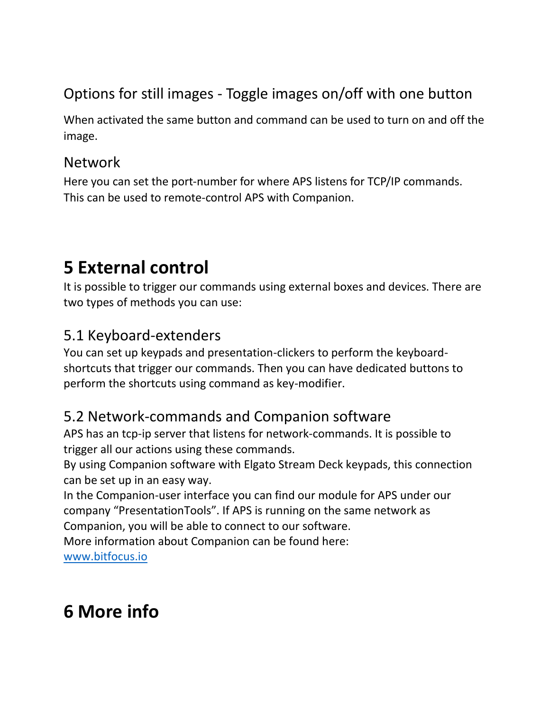# Options for still images - Toggle images on/off with one button

When activated the same button and command can be used to turn on and off the image.

#### Network

Here you can set the port-number for where APS listens for TCP/IP commands. This can be used to remote-control APS with Companion.

# **5 External control**

It is possible to trigger our commands using external boxes and devices. There are two types of methods you can use:

# 5.1 Keyboard-extenders

You can set up keypads and presentation-clickers to perform the keyboardshortcuts that trigger our commands. Then you can have dedicated buttons to perform the shortcuts using command as key-modifier.

## 5.2 Network-commands and Companion software

APS has an tcp-ip server that listens for network-commands. It is possible to trigger all our actions using these commands.

By using Companion software with Elgato Stream Deck keypads, this connection can be set up in an easy way.

In the Companion-user interface you can find our module for APS under our company "PresentationTools". If APS is running on the same network as Companion, you will be able to connect to our software.

More information about Companion can be found here:

[www.bitfocus.io](http://www.bitfocus.io/)

# **6 More info**